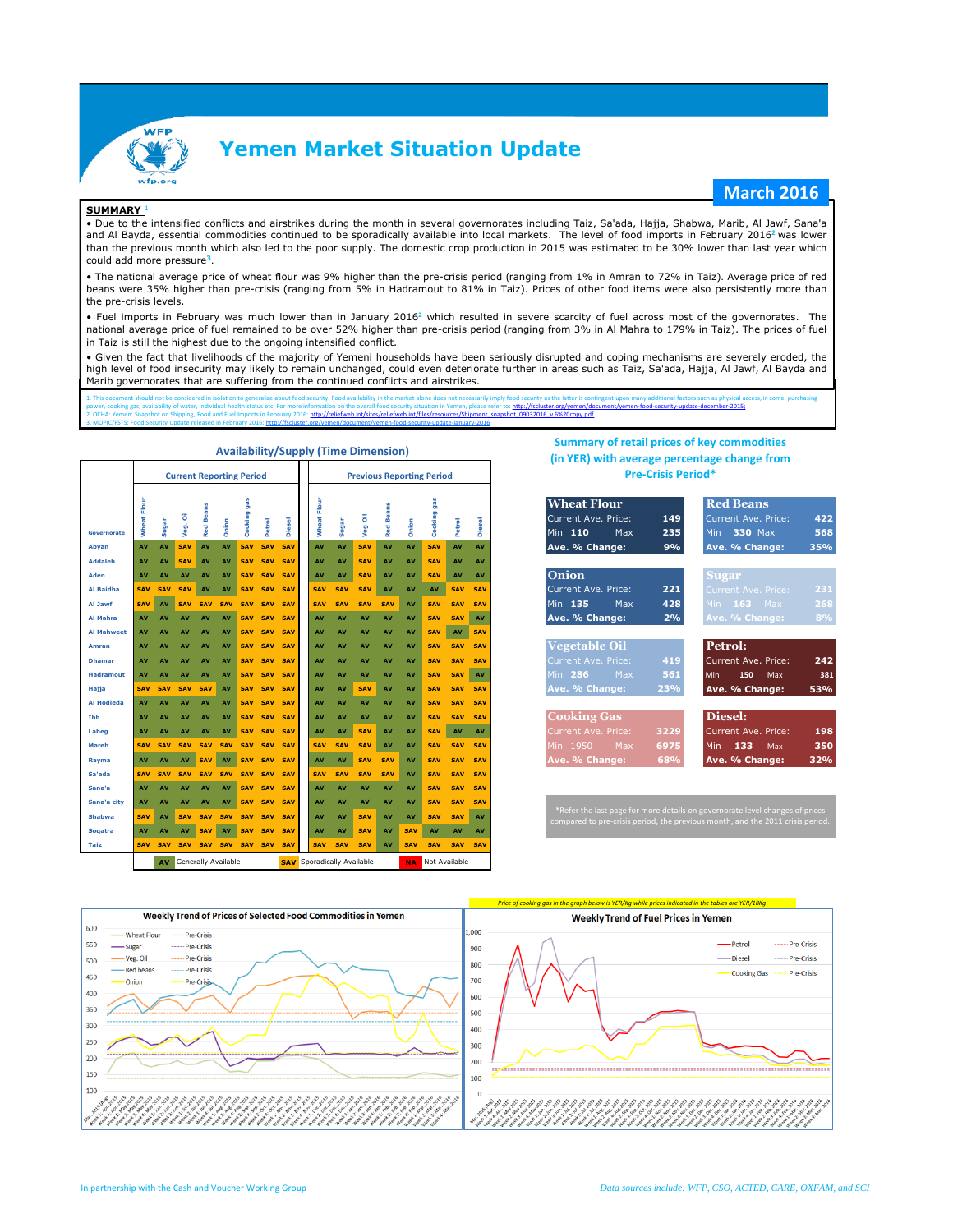

## **Yemen Market Situation Update**

### **March 2016**

#### **SUMMARY** <sup>1</sup>

• Due to the intensified conflicts and airstrikes during the month in several governorates including Taiz, Sa'ada, Hajja, Shabwa, Marib, Al Jawf, Sana'a and Al Bayda, essential commodities continued to be sporadically available into local markets. The level of food imports in February 2016**<sup>2</sup>** was lower than the previous month which also led to the poor supply. The domestic crop production in 2015 was estimated to be 30% lower than last year which could add more pressure**<sup>3</sup>**.

• The national average price of wheat flour was 9% higher than the pre-crisis period (ranging from 1% in Amran to 72% in Taiz). Average price of red beans were 35% higher than pre-crisis (ranging from 5% in Hadramout to 81% in Taiz). Prices of other food items were also persistently more than the pre-crisis levels.

• Fuel imports in February was much lower than in January 2016**<sup>2</sup>** which resulted in severe scarcity of fuel across most of the governorates. The national average price of fuel remained to be over 52% higher than pre-crisis period (ranging from 3% in Al Mahra to 179% in Taiz). The prices of fuel in Taiz is still the highest due to the ongoing intensified conflict.

• Given the fact that livelihoods of the majority of Yemeni households have been seriously disrupted and coping mechanisms are severely eroded, the high level of food insecurity may likely to remain unchanged, could even deteriorate further in areas such as Taiz, Sa'ada, Hajja, Al Jawf, Al Bayda and Marib governorates that are suffering from the continued conflicts and airstrikes.

1. This document should not be considered in isolation to generalize about food security. Food availability in the market alone does not necessarily imply food security as the latter is contingent upon many additional fact cument/yemen-food-security-update-december-2015; 2. Ochai: Shipping, Food and Fuel International Fuel International Fuel International International International<br>Imports in Files/relief web.int/files/relief web.int/files/resources/resources/shipment\_snapshot\_09032016\_v. s<br>Tuary 2016: http://fsc

|                   |                       |            | <b>Current Reporting Period</b> |                     |            |             |                    |               |                |                                                                 | <b>Previous Reporting Period</b> |                  |            |                |            |               | (in YER) with average percentage change from<br><b>Pre-Crisis Period*</b>                                                                                          |  |  |  |  |  |  |  |  |  |  |
|-------------------|-----------------------|------------|---------------------------------|---------------------|------------|-------------|--------------------|---------------|----------------|-----------------------------------------------------------------|----------------------------------|------------------|------------|----------------|------------|---------------|--------------------------------------------------------------------------------------------------------------------------------------------------------------------|--|--|--|--|--|--|--|--|--|--|
| Governorate       | Flour<br><b>Wheat</b> | Sugar      | Veg. Oil                        | <b>Beans</b><br>Red | Onion      | Cooking gas | Petrol             | <b>Diesel</b> | Flour<br>Wheat | Sugar                                                           | Veg Oil                          | <b>Red Beans</b> | Onion      | gas<br>Cooking | Petrol     | <b>Diesel</b> | <b>Wheat Flour</b><br><b>Red Beans</b><br>Current Ave. Price:<br>149<br><b>Current Ave. Price:</b><br>422<br>Min 110<br>330 Max<br>568<br>Max<br>235<br><b>Min</b> |  |  |  |  |  |  |  |  |  |  |
| Abyan             | AV                    | AV         | SAV                             | AV                  | AV         | <b>SAV</b>  | <b>SAV</b>         | SAV           | AV             | AV                                                              | <b>SAV</b>                       | AV               | AV         | <b>SAV</b>     | AV         | AV            | Ave. % Change:<br>9%<br>Ave. % Change:<br>35%                                                                                                                      |  |  |  |  |  |  |  |  |  |  |
| <b>Addaleh</b>    | AV                    | AV         | <b>SAV</b>                      | AV                  | AV         | <b>SAV</b>  | <b>SAV</b>         | SAV           | AV             | AV                                                              | <b>SAV</b>                       | AV               | AV         | <b>SAV</b>     | AV         | AV            |                                                                                                                                                                    |  |  |  |  |  |  |  |  |  |  |
| Aden              | AV                    | AV         | AV                              | AV                  | AV         | <b>SAV</b>  | SAV SAV            |               | AV             | AV                                                              | <b>SAV</b>                       | AV               | AV         | <b>SAV</b>     | AV         | AV            | Onion<br><b>Sugar</b>                                                                                                                                              |  |  |  |  |  |  |  |  |  |  |
| Al Baidha         | <b>SAV</b>            | <b>SAV</b> | SAV                             | AV                  | AV         | <b>SAV</b>  | <b>SAV</b>         | SAV           | <b>SAV</b>     | <b>SAV</b>                                                      | SAV                              | AV               | AV         | AV             | <b>SAV</b> | <b>SAV</b>    | 221<br>Current Ave. Price:<br>231<br>Current Ave. Price:                                                                                                           |  |  |  |  |  |  |  |  |  |  |
| Al Jawf           | <b>SAV</b>            | AV         | <b>SAV</b>                      | <b>SAV</b>          | <b>SAV</b> | <b>SAV</b>  |                    | SAV SAV       | <b>SAV</b>     | SAV                                                             | <b>SAV</b>                       | <b>SAV</b>       | AV         | <b>SAV</b>     | <b>SAV</b> | <b>SAV</b>    | Min 135<br>428<br>$163$ Max<br>268<br>Max<br>Min                                                                                                                   |  |  |  |  |  |  |  |  |  |  |
| Al Mahra          | AV                    | AV         | AV                              | AV                  | AV         | <b>SAV</b>  |                    | SAV SAV       | AV             | AV                                                              | AV                               | AV               | AV         | <b>SAV</b>     | <b>SAV</b> | AV            | 8%<br>Ave. % Change:<br>2%<br>Ave. % Change:                                                                                                                       |  |  |  |  |  |  |  |  |  |  |
| <b>Al Mahweet</b> | AV                    | AV         | AV                              | AV                  | AV         | SAV         | <b>SAV</b>         | SAV           | AV             | AV                                                              | AV                               | AV               | AV         | <b>SAV</b>     | AV         | <b>SAV</b>    |                                                                                                                                                                    |  |  |  |  |  |  |  |  |  |  |
| Amran             | AV                    | AV         | AV                              | AV                  | AV         | <b>SAV</b>  | <b>SAV</b>         | SAV           | AV             | AV                                                              | AV                               | AV               | AV         | <b>SAV</b>     | <b>SAV</b> | <b>SAV</b>    | <b>Vegetable Oil</b><br>Petrol:                                                                                                                                    |  |  |  |  |  |  |  |  |  |  |
| <b>Dhamar</b>     | AV                    | AV         | AV                              | AV                  | AV         | <b>SAV</b>  | <b>SAV</b>         | <b>SAV</b>    | AV             | AV                                                              | AV                               | AV               | AV         | <b>SAV</b>     | <b>SAV</b> | <b>SAV</b>    | Current Ave. Price:<br>419<br>242<br>Current Ave. Price:                                                                                                           |  |  |  |  |  |  |  |  |  |  |
| <b>Hadramout</b>  | AV                    | AV         | AV                              | <b>AV</b>           | AV         | <b>SAV</b>  | <b>SAV</b>         | SAV           | AV             | AV                                                              | AV                               | AV               | AV         | <b>SAV</b>     | <b>SAV</b> | AV            | Max<br>561<br>Min 286<br>150<br>Max<br>381<br>Min                                                                                                                  |  |  |  |  |  |  |  |  |  |  |
| Hajja             | <b>SAV</b>            | <b>SAV</b> | <b>SAV</b>                      | <b>SAV</b>          | AV         | <b>SAV</b>  | <b>SAV</b>         | SAV           | AV             | AV                                                              | <b>SAV</b>                       | AV               | AV         | <b>SAV</b>     | <b>SAV</b> | <b>SAV</b>    | Ave. % Change:<br>Ave. % Change:<br>53%<br>23%                                                                                                                     |  |  |  |  |  |  |  |  |  |  |
| <b>Al Hodieda</b> | AV                    | AV         | AV                              | AV                  | AV         | <b>SAV</b>  | <b>SAV</b>         | SAV           | AV             | AV                                                              | AV                               | AV               | AV         | <b>SAV</b>     | <b>SAV</b> | <b>SAV</b>    |                                                                                                                                                                    |  |  |  |  |  |  |  |  |  |  |
| <b>Thh</b>        | AV                    | AV         | AV                              | AV                  | AV         | <b>SAV</b>  | <b>SAV</b>         | SAV           | AV             | AV                                                              | AV                               | AV               | AV         | <b>SAV</b>     | <b>SAV</b> | <b>SAV</b>    | <b>Cooking Gas</b><br>Diesel:                                                                                                                                      |  |  |  |  |  |  |  |  |  |  |
| Laheg             | AV                    | AV         | AV                              | AV                  | AV         | <b>SAV</b>  | <b>SAV</b>         | SAV           | AV             | AV                                                              | <b>SAV</b>                       | AV               | AV         | <b>SAV</b>     | AV         | AV            | 198<br>Current Ave. Price:<br>3229<br>Current Ave. Price:                                                                                                          |  |  |  |  |  |  |  |  |  |  |
| <b>Mareb</b>      | <b>SAV</b>            | <b>SAV</b> | <b>SAV</b>                      | <b>SAV</b>          | <b>SAV</b> | <b>SAV</b>  |                    | SAV SAV       | <b>SAV</b>     | <b>SAV</b>                                                      | <b>SAV</b>                       | AV               | AV         | <b>SAV</b>     | <b>SAV</b> | <b>SAV</b>    | 350<br>Min 1950<br>6975<br>133<br>Max<br><b>Min</b><br>Max                                                                                                         |  |  |  |  |  |  |  |  |  |  |
| Rayma             | AV                    | AV         | <b>AV</b>                       | <b>SAV</b>          | AV         |             | <b>SAV SAV SAV</b> |               | AV             | AV                                                              | <b>SAV</b>                       | <b>SAV</b>       | AV         | <b>SAV</b>     | <b>SAV</b> | <b>SAV</b>    | 68%<br>Ave. % Change:<br>Ave. % Change:<br>32%                                                                                                                     |  |  |  |  |  |  |  |  |  |  |
| Sa'ada            | <b>SAV</b>            | <b>SAV</b> | <b>SAV</b>                      | <b>SAV</b>          | <b>SAV</b> |             | SAV SAV SAV        |               | <b>SAV</b>     | <b>SAV</b>                                                      | <b>SAV</b>                       | <b>SAV</b>       | AV         | <b>SAV</b>     | <b>SAV</b> | <b>SAV</b>    |                                                                                                                                                                    |  |  |  |  |  |  |  |  |  |  |
| Sana'a            | AV                    | AV         | AV                              | AV                  | AV         | <b>SAV</b>  | <b>SAV</b>         | <b>SAV</b>    | AV             | AV                                                              | AV                               | AV               | AV         | <b>SAV</b>     | <b>SAV</b> | <b>SAV</b>    |                                                                                                                                                                    |  |  |  |  |  |  |  |  |  |  |
| Sana'a city       | AV                    | AV         | AV                              | AV                  | AV         |             | SAV SAV            | SAV           | AV             | AV                                                              | AV                               | AV               | AV         | <b>SAV</b>     | <b>SAV</b> | SAV           | *Refer the last page for more details on governorate level changes of prices                                                                                       |  |  |  |  |  |  |  |  |  |  |
| <b>Shabwa</b>     | <b>SAV</b>            | AV         | <b>SAV</b>                      | <b>SAV</b>          | <b>SAV</b> |             | SAV SAV            | <b>SAV</b>    | AV             | AV                                                              | <b>SAV</b>                       | AV               | AV         | <b>SAV</b>     | <b>SAV</b> | AV            | compared to pre-crisis period, the previous month, and the 2011 crisis period.                                                                                     |  |  |  |  |  |  |  |  |  |  |
| <b>Sogatra</b>    | AV                    | AV         | AV                              | <b>SAV</b>          | AV         | <b>SAV</b>  | <b>SAV</b>         | SAV           | AV             | AV                                                              | <b>SAV</b>                       | AV               | <b>SAV</b> | AV             | AV         | AV            |                                                                                                                                                                    |  |  |  |  |  |  |  |  |  |  |
| <b>Taiz</b>       | <b>SAV</b>            | <b>SAV</b> |                                 | SAV SAV             |            |             | SAV SAV SAV SAV    |               | <b>SAV</b>     | <b>SAV</b>                                                      | <b>SAV</b>                       | AV               | <b>SAV</b> | <b>SAV</b>     | <b>SAV</b> | <b>SAV</b>    |                                                                                                                                                                    |  |  |  |  |  |  |  |  |  |  |
|                   |                       | AV         | Generally Available             |                     |            |             |                    |               |                | <b>SAV</b> Sporadically Available<br>Not Available<br><b>NA</b> |                                  |                  |            |                |            |               |                                                                                                                                                                    |  |  |  |  |  |  |  |  |  |  |

#### **Availability/Supply (Time Dimension)**

### **Summary of retail prices of key commodities (in YER) with average percentage change from Pre-Crisis Period\***

| <b>Wheat Flour</b>   |      | <b>Red Beans</b>    |
|----------------------|------|---------------------|
| Current Ave Price:   | 149  | Current Ave. Price: |
| Min 110<br>Max       | 235  | Min 330 Max         |
| Ave. % Change:       | 9%   | Ave. % Change:      |
| Onion                |      | <b>Sugar</b>        |
| Current Ave Price:   | 221  | Current Ave. Price: |
| Min 135 Max          | 428  | Min $163$ Max       |
|                      |      |                     |
| Ave. % Change:       | 2%   | Ave. % Change:      |
| <b>Vegetable Oil</b> |      | Petrol:             |
| Current Ave. Price:  | 419  | Current Ave. Price: |
| Min $286$ Max        | 561  | Min 150<br>Max      |
| Ave. % Change:       | 23%  | Ave. % Change:      |
|                      |      |                     |
| <b>Cooking Gas</b>   |      | Diesel:             |
| Current Ave. Price:  | 3229 | Current Ave. Price: |
| Min 1950 Max         | 6975 | Min 133<br>Max      |
| Ave. % Change:       | 68%  | Ave. % Change:      |

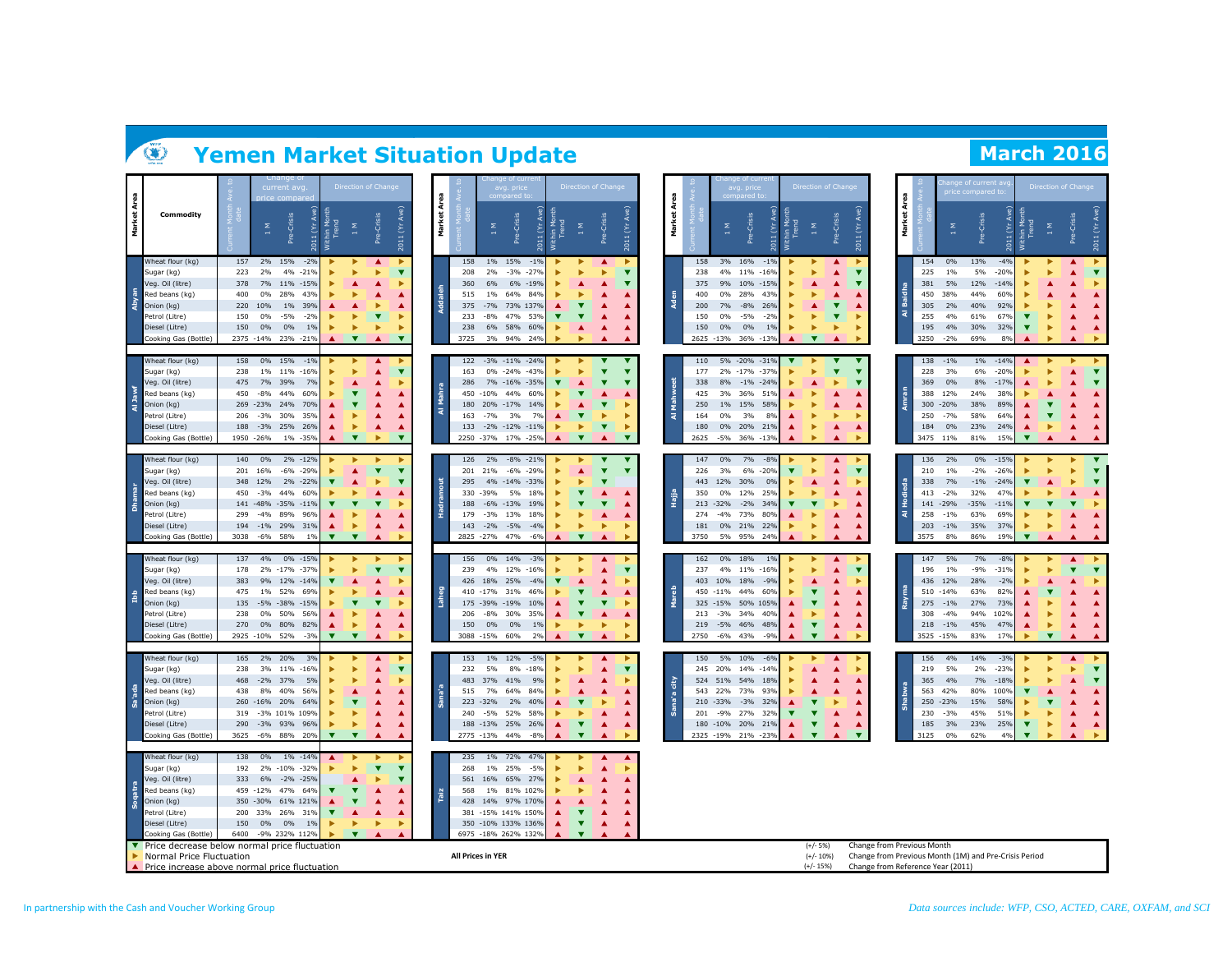|   |                                                                             |            |                    | u nange oi<br>current avg     |                                                | <b>Direction of Change</b>   |                                      |                         |          | 8    |                          | avg. price              | ang of curr                         |                                                  |                         | Direction of Change     |                    | 8            |             |                        | nge of curry<br>avg. price |                                                       | <b>Direction of Change</b>                         |                  |                    |                                   | 8           |                  |                 | ge of current at<br>ice compared to                   |                    |                         | Direction of Chang           |             |                              |
|---|-----------------------------------------------------------------------------|------------|--------------------|-------------------------------|------------------------------------------------|------------------------------|--------------------------------------|-------------------------|----------|------|--------------------------|-------------------------|-------------------------------------|--------------------------------------------------|-------------------------|-------------------------|--------------------|--------------|-------------|------------------------|----------------------------|-------------------------------------------------------|----------------------------------------------------|------------------|--------------------|-----------------------------------|-------------|------------------|-----------------|-------------------------------------------------------|--------------------|-------------------------|------------------------------|-------------|------------------------------|
| Σ | Commodity                                                                   |            | Σ<br>$\rightarrow$ | -Crisis<br><b>Pre</b>         | Ave)<br>ithin Mon<br>Trend<br>$\infty$<br>2011 | 1 M                          | Crisis<br>۹ë                         | $\mathfrak{S}$<br>2011  | Market   | ২    |                          | Σ                       | -Crisis<br>غ                        | Ave)<br>ithin Mon<br>Trend<br>$\xi$<br>2011<br>ξ | $_{\rm 1~M}$            | Crisis<br>È             | $\epsilon$<br>2011 | à,<br>Market |             | Σ                      | Crisis<br>فع               | Ave)<br>Within Mon<br>Trend<br>$\mathfrak{S}$<br>2011 | $\boldsymbol{\Sigma}$<br>$\rightarrow$             | Crisis<br>È      | $\epsilon$<br>2011 |                                   | à<br>Market |                  | Σ               | Crisis<br>؋                                           | $\check{\epsilon}$ | nin Mo<br>Trend         | ♦<br>$\rightarrow$           | Crisis<br>ë | 2011 (Yr                     |
|   | Wheat flour (kg)<br>Sugar (kg)                                              | 157<br>223 | 2%<br>2%           | 15%<br>$-2%$<br>4%<br>$-219$  |                                                |                              |                                      | ۳                       |          |      | 158<br>208               | $1\%$<br>2%             | 15%<br>$-1%$<br>$-3%$<br>$-279$     |                                                  |                         |                         |                    |              | 158<br>238  | 3% 16%<br>4%           | $-1%$<br>11%<br>$-16%$     |                                                       |                                                    |                  |                    |                                   |             | 154<br>225       | 0%<br>1%        | 13%<br>5%                                             | $-4%$<br>$-20%$    |                         |                              | ▲           |                              |
|   | Veg. Oil (litre)                                                            | 378        | 7%                 | 11% - 15%                     |                                                | ▲                            | ▲                                    |                         |          |      | 360                      | 6%                      | 6%<br>$-19%$                        |                                                  |                         |                         | ▼                  |              | 375         | 9% 10%                 | $-159$                     |                                                       |                                                    | ▲                |                    |                                   |             | 381              | 5%              | 12%                                                   | $-149$             |                         |                              |             |                              |
|   | Red beans (kg)                                                              | 400        | $0\%$              | 28%<br>43%                    |                                                | $\ddot{}$                    | ▲                                    |                         |          |      | 515                      | 1%                      | 64%<br>84%                          |                                                  |                         |                         |                    |              | 400         | $0\%$                  | 28%<br>43%                 |                                                       |                                                    |                  |                    |                                   |             | 450              | 38%             | 44%                                                   | 60%                |                         |                              |             | ▲                            |
|   | Onion (kg)                                                                  | 220        | 10%                | $1\%$<br>39%                  |                                                | ▲                            |                                      |                         | Notealeh |      | 375                      | $-7%$                   | 73% 137%                            |                                                  | ▼                       |                         |                    | Aden         | 200         | 7%                     | $-8%$<br>26%               |                                                       |                                                    | ▼                |                    |                                   | Æ           | 305              | 2%              | 40%                                                   | 92%                |                         |                              |             |                              |
|   | Petrol (Litre)                                                              | 150        | 0%                 | $-5%$<br>$-29$                |                                                |                              | ▼                                    |                         |          |      | 233                      | -8%                     | 47%<br>53%                          |                                                  |                         |                         |                    |              | 150         | $0\%$                  | $-5%$<br>$-2%$             |                                                       |                                                    |                  |                    |                                   | द           | 255              | 4%              | 61%                                                   | 67%                | ▼                       |                              |             |                              |
|   | Diesel (Litre)                                                              | 150        | 0%                 | 0%<br>1%                      |                                                | ▶                            |                                      |                         |          | 238  |                          | 6%                      | 60%<br>58%                          |                                                  | ▲                       | ▲                       |                    |              | 150         | 0%                     | 0%<br>1%                   |                                                       |                                                    |                  |                    |                                   |             | 195              | 4%              | 30%                                                   | 32%                | $\overline{\mathbf{v}}$ | Þ                            | ▲           |                              |
|   | Cooking Gas (Bottle)                                                        |            | 2375 -14%          | 23% -21%                      |                                                | $\overline{\mathbf{v}}$      | $\blacktriangle$                     | ▼                       |          | 3725 |                          | 3%                      | 94%<br>24%                          |                                                  |                         |                         |                    |              | 2625 - 13%  |                        | 36%<br>$-13%$              |                                                       | $\overline{\textbf{v}}$                            |                  |                    |                                   |             | 3250             | $-2%$           | 69%                                                   | 8%                 |                         |                              |             |                              |
|   | Wheat flour (kg)                                                            | 158        | $0\%$              | 15%<br>$-19$                  |                                                |                              | $\blacktriangle$                     |                         |          |      | 122                      |                         | $-3\% -11\% -24\%$                  |                                                  |                         |                         |                    |              | 110         |                        | 5% -20% -31%               |                                                       |                                                    |                  |                    |                                   |             | 138              | $-1%$           | $1\%$                                                 | $-149$             |                         |                              |             |                              |
|   | Sugar (kg)                                                                  | 238        | $1\%$              | 11%<br>$-169$                 |                                                |                              | ▲                                    | ▼                       |          |      | 163                      | 0% -24%                 | $-43%$                              |                                                  |                         | $\overline{\textbf{v}}$ |                    |              | 177         |                        | 2% -17% -37%               |                                                       |                                                    | ▼                |                    |                                   |             | 228              | 3%              | 6%                                                    | $-209$             |                         |                              |             |                              |
|   | Veg. Oil (litre)                                                            | 475        | 7%                 | 39%<br>7%                     |                                                | ▲                            | ▲                                    |                         |          |      | 286                      |                         | 7% -16% -35%                        |                                                  | ▲                       |                         | ▼                  |              | 338         | 8%                     | $-1\% -24\%$               |                                                       |                                                    |                  |                    |                                   |             | 369              | 0%              | 8%                                                    | $-179$             |                         |                              |             |                              |
|   | Red beans (kg)                                                              | 450        | $-8%$              | 44%<br>60%                    |                                                | $\overline{\mathbf{v}}$      |                                      |                         | ž        |      | 450 -10%                 |                         | 44%<br>60%                          |                                                  |                         |                         |                    | na fa        | 425         | 3%                     | 36%<br>51%                 |                                                       |                                                    |                  |                    |                                   |             | 388              | 12%             | 24%                                                   | 38%                |                         |                              |             |                              |
|   | Onion (kg)                                                                  |            | 269 -23%           | 24%<br>70%                    |                                                |                              |                                      |                         | ₹        |      | 180                      | 20% -17%                | 14%                                 |                                                  |                         | v                       |                    |              | 250         | $1\%$                  | 15%<br>58%                 |                                                       |                                                    |                  |                    |                                   |             | 300              | $-20%$          | 38%                                                   | 89%                |                         |                              |             | ▲                            |
|   | Petrol (Litre)<br>Diesel (Litre)                                            | 206<br>188 | $-3%$<br>$-3%$     | 30%<br>35%<br>25% 26%         |                                                | ▶<br>٠                       | ▲<br>▲                               | A                       |          |      | 163                      | $-7%$<br>133 - 2% - 12% | 3%<br>7%<br>$-11%$                  | ▲                                                | ▼<br>ь                  | ▼                       |                    | ৰ            | 164<br>180  | $0\%$<br>0% 20%        | 3%<br>8%<br>21%            | ▲                                                     | D                                                  | $\blacktriangle$ | ▲                  |                                   |             | 250<br>184       | $-7%$<br>0%     | 58%<br>23%                                            | 64%<br>24%         | ▲                       |                              |             | ▲                            |
|   | Cooking Gas (Bottle)                                                        |            | 1950 - 26%         | $-359$<br>$1\%$               |                                                | $\overline{\mathbf{v}}$      | ь                                    | $\overline{\mathbf{v}}$ |          | 2250 |                          | $-37%$<br>17%           | $-25%$                              |                                                  | $\overline{\textbf{v}}$ |                         | ▼                  |              | 2625        | $-5%$                  | 36%<br>$-139$              |                                                       |                                                    |                  |                    |                                   |             | 3475             | 11 <sup>%</sup> | 81%                                                   | 159                |                         |                              |             |                              |
|   |                                                                             |            |                    |                               |                                                |                              |                                      |                         |          |      |                          |                         |                                     |                                                  |                         |                         |                    |              |             |                        |                            |                                                       |                                                    |                  |                    |                                   |             |                  |                 |                                                       |                    |                         |                              |             |                              |
|   | Wheat flour (kg)                                                            | 140        | $0\%$              | 2% -12%                       |                                                |                              |                                      |                         |          |      | 126                      |                         | 2% -8% -21%                         |                                                  |                         | ▼                       | v                  |              | 147         | $0\%$                  | 7%<br>$-8%$                |                                                       |                                                    |                  |                    |                                   |             | 136              | 2%              | $0\%$                                                 | $-15%$             |                         |                              |             |                              |
|   | Sugar (kg)<br>Veg. Oil (litre)                                              | 201<br>348 | 16%<br>12%         | -6%<br>$-299$<br>2%<br>$-22%$ |                                                | ▲<br>▲                       | ▼                                    | ۷<br>۷                  |          |      | 201 21%<br>295           | 4%                      | $-6%$<br>$-29%$<br>$-14%$<br>$-33%$ |                                                  |                         | ▼                       | ▼                  |              | 226<br>443  | 3%<br>12%              | 6%<br>$-209$<br>30%<br>0%  |                                                       |                                                    |                  |                    |                                   |             | 210<br>338       | 1%<br>7%        | $-2%$<br>$-1%$                                        | $-269$<br>$-249$   | ۳.                      |                              |             | $\overline{\textbf{v}}$<br>▼ |
|   | Red beans (kg)                                                              | 450        | $-3%$              | 44%<br>60%                    |                                                |                              |                                      |                         |          |      | 330 - 39%                |                         | 5%<br>18%                           |                                                  | ▼                       |                         |                    |              | 350         | $0\%$                  | 12%<br>25%                 |                                                       |                                                    |                  |                    |                                   |             | 413              | $-2%$           | 32%                                                   | 479                |                         |                              |             |                              |
|   | Onion (kg)                                                                  |            |                    | 141 -48% -35% -11%            |                                                |                              | ▼                                    |                         |          |      | 188                      | $-6\% -13\%$            | 19%                                 |                                                  |                         | ▼                       |                    | Hajja        |             | 213 - 32%              | $-2%$<br>34%               | ▼                                                     |                                                    |                  |                    |                                   |             | 141              | $-29%$          | $-35%$                                                | $-119$             |                         |                              |             |                              |
|   | Petrol (Litre)                                                              | 299        | $-4%$              | 89%<br>96%                    |                                                |                              | ▲                                    |                         |          |      | 179                      | $-3%$<br>13%            | 18%                                 |                                                  |                         |                         |                    |              | 274         | $-4%$                  | 73%<br>80%                 |                                                       |                                                    |                  |                    |                                   | ਕ           | 258              | $-1%$           | 63%                                                   | 69%                |                         |                              |             |                              |
|   | Diesel (Litre)                                                              | 194        |                    | -1% 29% 31%                   |                                                | ь                            | ▲                                    |                         |          |      | 143                      | $-5%$<br>$-2%$          | $-4%$                               |                                                  |                         |                         |                    |              | 181         | 0% 21%                 | 22%                        |                                                       |                                                    | ▲                |                    |                                   |             | 203              | $-1%$           | 35%                                                   | 37%                |                         |                              |             |                              |
|   | Cooking Gas (Bottle)                                                        | 3038       | $-6%$              | 58%<br>19                     |                                                | $\overline{\textbf{v}}$      |                                      |                         |          |      | 2825 - 27%               |                         | 47%<br>$-6%$                        |                                                  | $\overline{\mathbf{v}}$ |                         |                    |              | 3750        | 5%                     | 95%<br>24%                 |                                                       | ь                                                  |                  |                    |                                   |             | 3575             | 8%              | 86%                                                   | 19%                |                         |                              |             |                              |
|   | Wheat flour (kg                                                             | 137        | 4%                 | $0\% - 15\%$                  |                                                |                              |                                      |                         |          |      | 156                      | $0\%$<br>14%            | $-3%$                               |                                                  |                         |                         |                    |              | 162         | $0\%$                  | 18%<br>1%                  |                                                       |                                                    |                  |                    |                                   |             | 147              | 5%              | 7%                                                    | $-8%$              |                         |                              |             |                              |
|   | Sugar (kg)                                                                  | 178        | 2%                 | $-17%$<br>$-37$               |                                                |                              |                                      |                         |          |      | 239                      | 4%                      | 12%<br>$-16%$                       |                                                  |                         |                         |                    |              | 237         | 4%                     | 11%<br>$-16%$              |                                                       |                                                    |                  |                    |                                   |             | 196              | 1%              | -9%                                                   | $-319$             |                         |                              |             |                              |
|   | Veg. Oil (litre)                                                            | 383        | 9%                 | 12% -14%                      |                                                | ▲                            |                                      |                         |          |      |                          | 426 18% 25%             | $-4%$                               |                                                  |                         |                         |                    |              | 403         | 10%                    | 18%<br>$-99$               |                                                       |                                                    |                  |                    |                                   |             | 436              | 12%             | 28%                                                   | $-2%$              |                         |                              |             | Þ                            |
|   | Red beans (kg)                                                              | 475        | 1%                 | 52%<br>69%                    |                                                | ٠                            | ▲                                    |                         | Lahee    |      |                          | 410 - 17% 31%           | 46%                                 |                                                  | ▼                       |                         |                    | Mareb        |             | 450 -11%               | 44%<br>60%                 |                                                       | ۷                                                  |                  |                    |                                   |             | 510              | $-14%$          | 63%                                                   | 82%                |                         |                              |             | ▲                            |
|   | Onion (kg)                                                                  | 135        |                    | -5% -38% -15%                 |                                                | $\overline{\mathbf{v}}$      | ▼                                    |                         |          |      |                          | 175 - 39% - 19%         | 10%                                 |                                                  | $\overline{\mathbf{v}}$ |                         |                    |              |             |                        | 325 -15% 50% 105%          |                                                       |                                                    |                  |                    |                                   |             | 275              | $-1%$           | 27%                                                   | 73%                |                         |                              |             |                              |
|   | Petrol (Litre)                                                              | 238        | $0\%$              | 50%<br>56%                    |                                                |                              |                                      |                         |          |      | 206                      | $-8%$                   | 35%<br>30%                          |                                                  | ь                       |                         |                    |              | 213         | $-3%$                  | 34%<br>40%                 |                                                       |                                                    |                  |                    |                                   |             | 308              | $-4%$           | 94%                                                   | 102%               |                         |                              |             |                              |
|   | Diesel (Litre)<br>Cooking Gas (Bottle)                                      | 270        | $0\%$<br>2925 -10% | 80%<br>82%<br>52%<br>$-3%$    | $\mathbf{v}$                                   | ٠<br>$\overline{\mathbf{v}}$ | $\blacktriangle$<br>$\blacktriangle$ |                         |          |      | 150<br>3088 -15%         | $0\%$<br>60%            | 0%<br>1%<br>2%                      | ▲                                                | $\overline{\mathbf{v}}$ | ▲                       |                    |              | 219<br>2750 | $-5%$<br>$-6%$         | 46%<br>48%<br>43%<br>$-9%$ | ▲<br>$\blacktriangle$                                 | $\overline{\textbf{v}}$<br>$\overline{\mathbf{v}}$ | ▲<br>▲           |                    |                                   |             | 218<br>3525 -15% | $-1%$           | 45%<br>83%                                            | 47%<br>17%         |                         | ь<br>$\overline{\mathbf{v}}$ |             |                              |
|   |                                                                             |            |                    |                               |                                                |                              |                                      |                         |          |      |                          |                         |                                     |                                                  |                         |                         |                    |              |             |                        |                            |                                                       |                                                    |                  |                    |                                   |             |                  |                 |                                                       |                    |                         |                              |             |                              |
|   | Wheat flour (kg)                                                            | 165        | 2%                 | 20%<br>3%                     |                                                |                              | ▲                                    |                         |          |      | 153                      | 1%                      | 12%<br>$-5%$                        |                                                  |                         | ▲                       |                    |              | 150         | 5% 10%                 | $-6%$                      |                                                       |                                                    |                  |                    |                                   |             | 156              | 4%              | 14%                                                   | $-3%$              |                         |                              |             |                              |
|   | Sugar (kg)                                                                  | 238        | 3%                 | 11%<br>$-169$                 |                                                |                              |                                      | τ                       |          |      | 232                      | 5%                      | 8%<br>$-18%$                        |                                                  |                         |                         | ▼                  |              | 245         | 20%                    | 14%<br>$-149$              |                                                       |                                                    |                  |                    |                                   |             | 219              | 5%              | 2%                                                    | $-23%$             |                         |                              |             |                              |
|   | Veg. Oil (litre)<br>Red beans (kg)                                          | 468<br>438 | $-2%$<br>8%        | 37%<br>5%<br>40%<br>56%       |                                                | ▲                            | ▲<br>▲                               |                         |          |      | 483<br>515               | 37%<br>7%               | 41%<br>9%<br>64%<br>84%             |                                                  |                         |                         |                    | 용            |             | 524 51%<br>543 22% 73% | 54%<br>189<br>93%          |                                                       |                                                    |                  |                    |                                   |             | 365              | 4%<br>42%       | 7%<br>80%                                             | $-189$<br>100%     |                         |                              |             | ▼<br>▲                       |
|   | Onion (kg)                                                                  |            | 260 -16% 20%       | 64%                           |                                                | $\overline{\mathbf{v}}$      | ▲                                    |                         | j        |      | 223 - 32%                |                         | 2%<br>40%                           |                                                  |                         |                         |                    |              |             | 210 -33%               | $-3%$<br>32%               |                                                       | ۳                                                  |                  |                    |                                   |             | 563<br>250       | $-23%$          | 15%                                                   | 58%                |                         |                              |             | ▲                            |
|   | Petrol (Litre)                                                              | 319        |                    | -3% 101% 109%                 |                                                | ь                            | ▲                                    |                         |          |      | 240                      | $-5%$                   | 52%<br>58%                          |                                                  |                         |                         |                    |              | 201         | $-9%$                  | 27%<br>32%                 | ▼                                                     | ۷                                                  |                  |                    |                                   |             | 230              | $-3%$           | 45%                                                   | 51%                |                         |                              |             | ▲                            |
|   | Diesel (Litre)                                                              | 290        | $-3%$              | 93% 96%                       |                                                | ь                            | ▲                                    |                         |          |      |                          | 188 - 13% 25%           | 26%                                 | ▲                                                | $\overline{\textbf{v}}$ | ▲                       |                    |              |             | 180 - 10%              | 20%<br>21%                 |                                                       | ×                                                  | ▲                |                    |                                   |             | 185              | 3%              | 23%                                                   | 25%                | $\overline{\textbf{v}}$ | ь                            | ▲           |                              |
|   | Cooking Gas (Bottle)                                                        | 3625       | $-6%$              | 88% 20%                       |                                                | $\overline{\textbf{v}}$      | $\blacktriangle$                     |                         |          |      |                          | 2775 -13% 44%           | $-8%$                               |                                                  | $\overline{\mathbf{v}}$ |                         |                    |              |             | 2325 -19% 21%          | $-239$                     |                                                       | ۷                                                  |                  |                    |                                   |             | 3125             | 0%              | 62%                                                   | 49                 |                         |                              |             |                              |
|   | Wheat flour (kg)                                                            | 138        | 0%                 | 1% -14%                       |                                                |                              |                                      |                         |          |      | 235                      | 1% 72%                  | 47%                                 |                                                  |                         |                         |                    |              |             |                        |                            |                                                       |                                                    |                  |                    |                                   |             |                  |                 |                                                       |                    |                         |                              |             |                              |
|   | Sugar (kg)                                                                  | 192        |                    | 2% -10% -32%                  |                                                | ٠                            |                                      | ▼                       |          |      | 268                      | 25%<br>1%               | $-5%$                               |                                                  |                         |                         | ▲<br>ь             |              |             |                        |                            |                                                       |                                                    |                  |                    |                                   |             |                  |                 |                                                       |                    |                         |                              |             |                              |
|   | Veg. Oil (litre)                                                            | 333        | 6%                 | $-2\% -25\%$                  |                                                | ▲                            |                                      | ٦                       |          |      |                          | 561 16% 65%             | 27%                                 |                                                  | ▲                       |                         | ▲                  |              |             |                        |                            |                                                       |                                                    |                  |                    |                                   |             |                  |                 |                                                       |                    |                         |                              |             |                              |
|   | Red beans (kg)                                                              |            | 459 -12%           | 47%<br>64%                    |                                                | $\overline{\mathbf{v}}$      |                                      |                         | raiz     |      | 568                      |                         | 1% 81% 102%                         |                                                  |                         |                         |                    |              |             |                        |                            |                                                       |                                                    |                  |                    |                                   |             |                  |                 |                                                       |                    |                         |                              |             |                              |
|   | Onion (kg)                                                                  |            | 350 - 30%          | 61% 121%                      |                                                | $\overline{\mathbf{v}}$      | $\blacktriangle$                     |                         |          |      |                          |                         | 428 14% 97% 170%                    |                                                  | ▲                       |                         |                    |              |             |                        |                            |                                                       |                                                    |                  |                    |                                   |             |                  |                 |                                                       |                    |                         |                              |             |                              |
|   | Petrol (Litre)                                                              | 200        | 33%                | 26%<br>319                    |                                                | ▲                            | ▲                                    |                         |          |      |                          |                         | 381 -15% 141% 150%                  |                                                  | $\overline{\textbf{v}}$ |                         |                    |              |             |                        |                            |                                                       |                                                    |                  |                    |                                   |             |                  |                 |                                                       |                    |                         |                              |             |                              |
|   | Diesel (Litre)                                                              | 150        | 0%                 | 0%<br>19                      |                                                | ٠                            | ь                                    |                         |          |      |                          |                         | 350 -10% 133% 136%                  | ▲                                                | $\overline{\textbf{v}}$ | ▲                       | ▲                  |              |             |                        |                            |                                                       |                                                    |                  |                    |                                   |             |                  |                 |                                                       |                    |                         |                              |             |                              |
|   | Cooking Gas (Bottle)                                                        | 6400       |                    | -9% 232% 112%                 |                                                | $\overline{\textbf{v}}$      |                                      |                         |          |      |                          |                         | 6975 -18% 262% 132%                 |                                                  | $\overline{\textbf{v}}$ |                         |                    |              |             |                        |                            |                                                       | $(+/- 5%)$                                         |                  |                    | Change from Previous Month        |             |                  |                 |                                                       |                    |                         |                              |             |                              |
|   | ▼ Price decrease below normal price fluctuation<br>Normal Price Fluctuation |            |                    |                               |                                                |                              |                                      |                         |          |      | <b>All Prices in YER</b> |                         |                                     |                                                  |                         |                         |                    |              |             |                        |                            |                                                       | $(+/- 10%)$                                        |                  |                    |                                   |             |                  |                 | Change from Previous Month (1M) and Pre-Crisis Period |                    |                         |                              |             |                              |
|   | Price increase above normal price fluctuation                               |            |                    |                               |                                                |                              |                                      |                         |          |      |                          |                         |                                     |                                                  |                         |                         |                    |              |             |                        |                            |                                                       | $(+/- 15%)$                                        |                  |                    | Change from Reference Year (2011) |             |                  |                 |                                                       |                    |                         |                              |             |                              |

## **Yemen Market Situation Update March March March March March March March March March March March March March March March March March March March March March March March March**

Change of price compared

2011 (Yr Ave)

**Market Area**

 $\bigcirc$